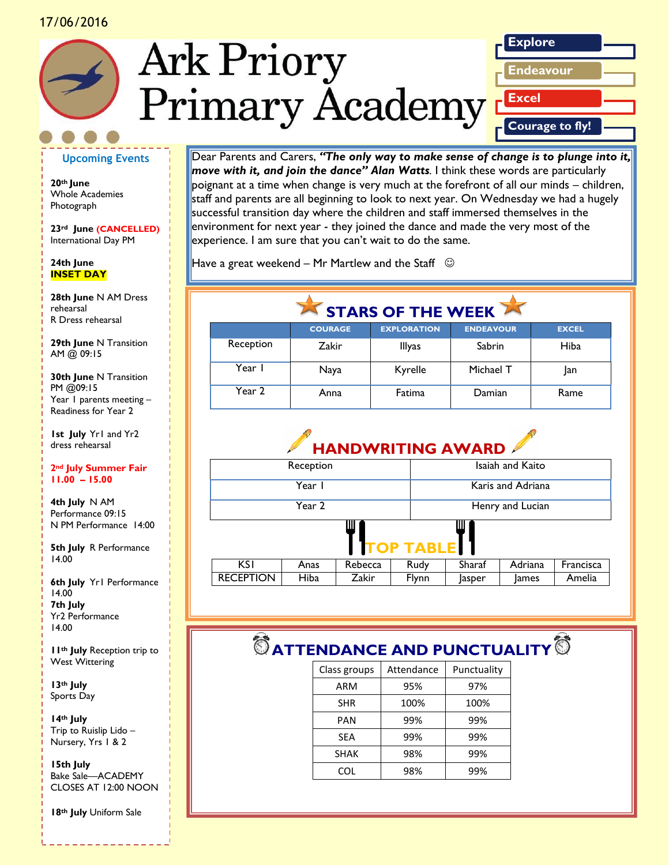#### 17/06/2016





#### **Upcoming Events**

**20th June** Whole Academies Photograph

**23rd June (CANCELLED)** International Day PM

#### **24th June INSET DAY**

*Caption describing picture or graphic.* R Dress rehearsal **28th June** N AM Dress rehearsal

**29th June** N Transition AM @ 09:15

**30th June** N Transition PM @09:15 Year 1 parents meeting – Readiness for Year 2

**1st July** Yr1 and Yr2 dress rehearsal

**2nd July Summer Fair 11.00 – 15.00**

**4th July** N AM Performance 09:15 N PM Performance 14:00

**5th July** R Performance 14.00

**6th July** Yr1 Performance 14.00 **7th July** Yr2 Performance 14.00

**11th July** Reception trip to West Wittering

**13th July** Sports Day

**14th July** Trip to Ruislip Lido – Nursery, Yrs 1 & 2

**15th July** Bake Sale—ACADEMY CLOSES AT 12:00 NOON

**18th July** Uniform Sale

Dear Parents and Carers, *"The only way to make sense of change is to plunge into it, move with it, and join the dance" Alan Watts.* I think these words are particularly poignant at a time when change is very much at the forefront of all our minds – children, staff and parents are all beginning to look to next year. On Wednesday we had a hugely successful transition day where the children and staff immersed themselves in the environment for next year - they joined the dance and made the very most of the experience. I am sure that you can't wait to do the same.

Have a great weekend – Mr Martlew and the Staff  $\heartsuit$ 

## **STARS OF THE WEEK**

|           | <b>COURAGE</b> | <b>EXPLORATION</b> | <b>ENDEAVOUR</b> | <b>EXCEL</b> |
|-----------|----------------|--------------------|------------------|--------------|
| Reception | Zakir          | <b>Illyas</b>      | Sabrin           | Hiba         |
| Year      | Naya           | Kyrelle            | Michael T        | lan          |
| Year 2    | Anna           | Fatima             | Damian           | Rame         |



| Reception           |      |         |       | Isaiah and Kaito  |              |           |
|---------------------|------|---------|-------|-------------------|--------------|-----------|
| Year I              |      |         |       | Karis and Adriana |              |           |
| Year 2              |      |         |       | Henry and Lucian  |              |           |
| ш<br>ш<br>TOP TABLE |      |         |       |                   |              |           |
| <b>KSI</b>          | Anas | Rebecca | Rudy  | Sharaf            | Adriana      | Francisca |
| <b>RECEPTION</b>    | Hiba | Zakir   | Flynn | Jasper            | <b>James</b> | Amelia    |

## $^\circledR$  ATTENDANCE AND PUNCTUALITY<sup>1</sup>

| Class groups | Attendance | Punctuality |  |
|--------------|------------|-------------|--|
| ARM          | 95%        | 97%         |  |
| <b>SHR</b>   | 100%       | 100%        |  |
| PAN          | 99%        | 99%         |  |
| <b>SEA</b>   | 99%        | 99%         |  |
| <b>SHAK</b>  | 98%        | 99%         |  |
| COL          | 98%        | 99%         |  |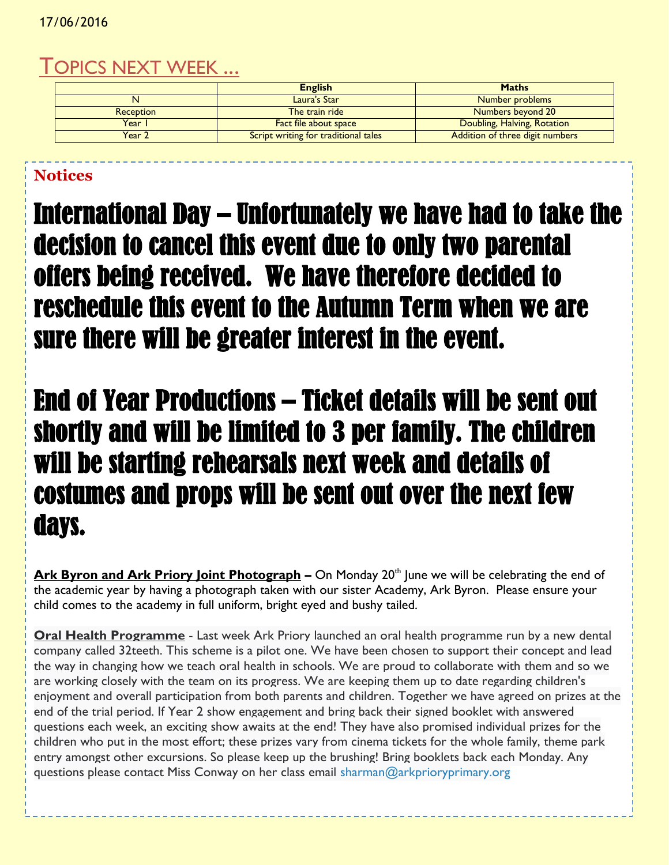## TOPICS NEXT WEEK ...

|                  | <b>English</b>                       | <b>Maths</b>                    |
|------------------|--------------------------------------|---------------------------------|
|                  | Laura's Star                         | Number problems                 |
| <b>Reception</b> | The train ride                       | Numbers beyond 20               |
| Year I           | <b>Fact file about space</b>         | Doubling, Halving, Rotation     |
| Year 2           | Script writing for traditional tales | Addition of three digit numbers |

## **Notices**

International Day – Unfortunately we have had to take the decision to cancel this event due to only two parental offers being received. We have therefore decided to reschedule this event to the Autumn Term when we are sure there will be greater interest in the event.

# End of Year Productions – Ticket details will be sent out shortly and will be limited to 3 per family. The children will be starting rehearsals next week and details of costumes and props will be sent out over the next few days.

**Ark Byron and Ark Priory Joint Photograph** – On Monday 20<sup>th</sup> June we will be celebrating the end of the academic year by having a photograph taken with our sister Academy, Ark Byron. Please ensure your child comes to the academy in full uniform, bright eyed and bushy tailed.

**Oral Health Programme** - Last week Ark Priory launched an oral health programme run by a new dental company called 32teeth. This scheme is a pilot one. We have been chosen to support their concept and lead the way in changing how we teach oral health in schools. We are proud to collaborate with them and so we are working closely with the team on its progress. We are keeping them up to date regarding children's enjoyment and overall participation from both parents and children. Together we have agreed on prizes at the end of the trial period. If Year 2 show engagement and bring back their signed booklet with answered questions each week, an exciting show awaits at the end! They have also promised individual prizes for the children who put in the most effort; these prizes vary from cinema tickets for the whole family, theme park entry amongst other excursions. So please keep up the brushing! Bring booklets back each Monday. Any questions please contact Miss Conway on her class email [sharman@arkprioryprimary.org](mailto:sharman@arkprioryprimary.org)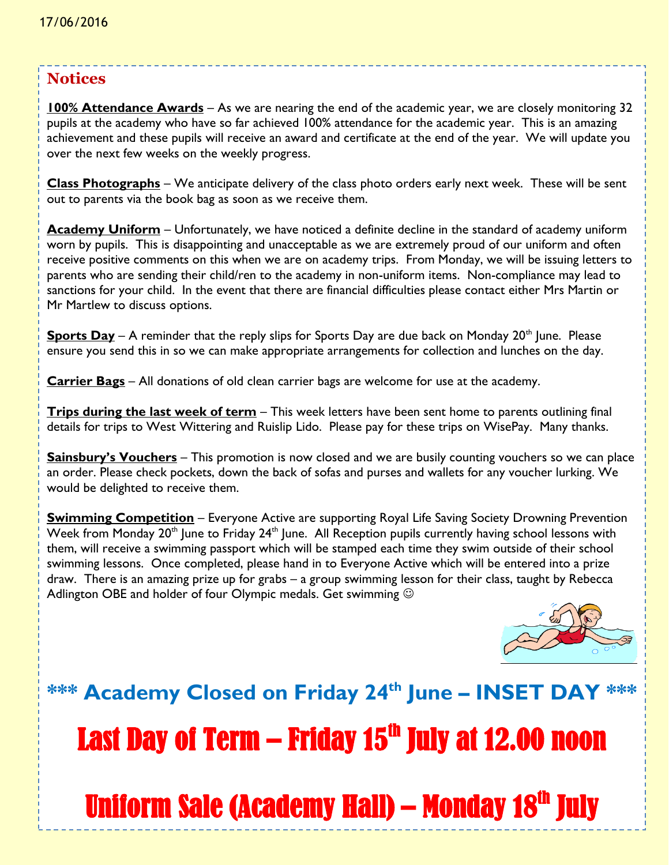### **Notices**

**100% Attendance Awards** – As we are nearing the end of the academic year, we are closely monitoring 32 pupils at the academy who have so far achieved 100% attendance for the academic year. This is an amazing achievement and these pupils will receive an award and certificate at the end of the year. We will update you over the next few weeks on the weekly progress.

**Class Photographs** – We anticipate delivery of the class photo orders early next week. These will be sent out to parents via the book bag as soon as we receive them.

**Academy Uniform** – Unfortunately, we have noticed a definite decline in the standard of academy uniform worn by pupils. This is disappointing and unacceptable as we are extremely proud of our uniform and often receive positive comments on this when we are on academy trips. From Monday, we will be issuing letters to parents who are sending their child/ren to the academy in non-uniform items. Non-compliance may lead to sanctions for your child. In the event that there are financial difficulties please contact either Mrs Martin or Mr Martlew to discuss options.

**Sports Day** – A reminder that the reply slips for Sports Day are due back on Monday 20<sup>th</sup> June. Please ensure you send this in so we can make appropriate arrangements for collection and lunches on the day.

**Carrier Bags** – All donations of old clean carrier bags are welcome for use at the academy.

**Trips during the last week of term** – This week letters have been sent home to parents outlining final details for trips to West Wittering and Ruislip Lido. Please pay for these trips on WisePay. Many thanks.

**Sainsbury's Vouchers** – This promotion is now closed and we are busily counting vouchers so we can place an order. Please check pockets, down the back of sofas and purses and wallets for any voucher lurking. We would be delighted to receive them.

**Swimming Competition** – Everyone Active are supporting Royal Life Saving Society Drowning Prevention Week from Monday  $20<sup>th</sup>$  June to Friday  $24<sup>th</sup>$  June. All Reception pupils currently having school lessons with them, will receive a swimming passport which will be stamped each time they swim outside of their school swimming lessons. Once completed, please hand in to Everyone Active which will be entered into a prize draw. There is an amazing prize up for grabs – a group swimming lesson for their class, taught by Rebecca Adlington OBE and holder of four Olympic medals. Get swimming  $\odot$ 



# **\*\*\* Academy Closed on Friday 24th June – INSET DAY \*\*\*** Last Day of Term – Friday 15<sup>th</sup> July at 12.00 noon Uniform Sale (Academy Hall) – Monday 18<sup>th</sup> July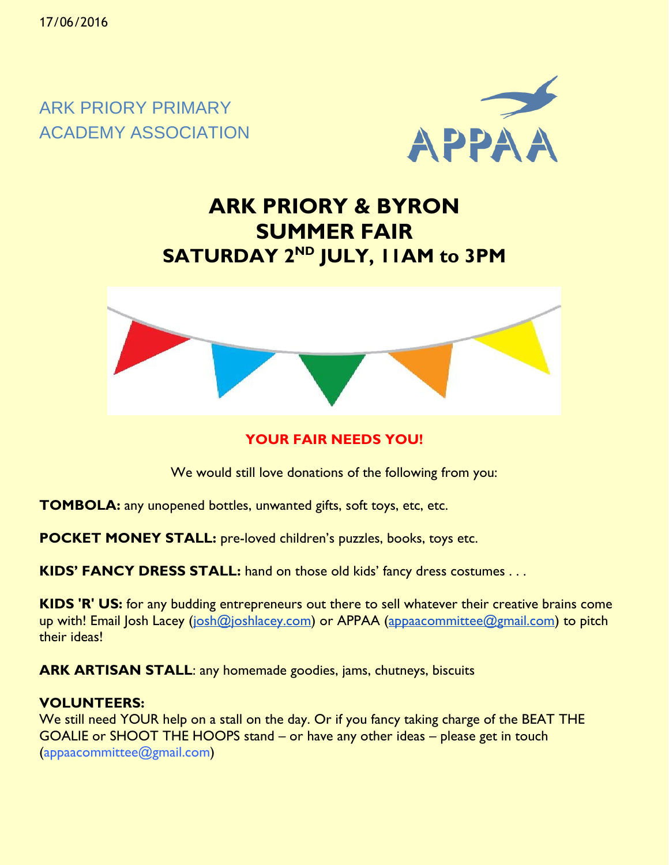ARK PRIORY PRIMARY ACADEMY ASSOCIATION



## **ARK PRIORY & BYRON SUMMER FAIR SATURDAY 2ND JULY, 11AM to 3PM**



### **YOUR FAIR NEEDS YOU!**

We would still love donations of the following from you:

**TOMBOLA:** any unopened bottles, unwanted gifts, soft toys, etc, etc.

**POCKET MONEY STALL:** pre-loved children's puzzles, books, toys etc.

**KIDS' FANCY DRESS STALL:** hand on those old kids' fancy dress costumes . . .

**KIDS 'R' US:** for any budding entrepreneurs out there to sell whatever their creative brains come up with! Email Josh Lacey [\(josh@joshlacey.com\)](mailto:josh@joshlacey.com) or APPAA [\(appaacommittee@gmail.com\)](mailto:appaacommittee@gmail.com) to pitch their ideas!

**ARK ARTISAN STALL**: any homemade goodies, jams, chutneys, biscuits

#### **VOLUNTEERS:**

We still need YOUR help on a stall on the day. Or if you fancy taking charge of the BEAT THE GOALIE or SHOOT THE HOOPS stand – or have any other ideas – please get in touch (appaacommittee@gmail.com)